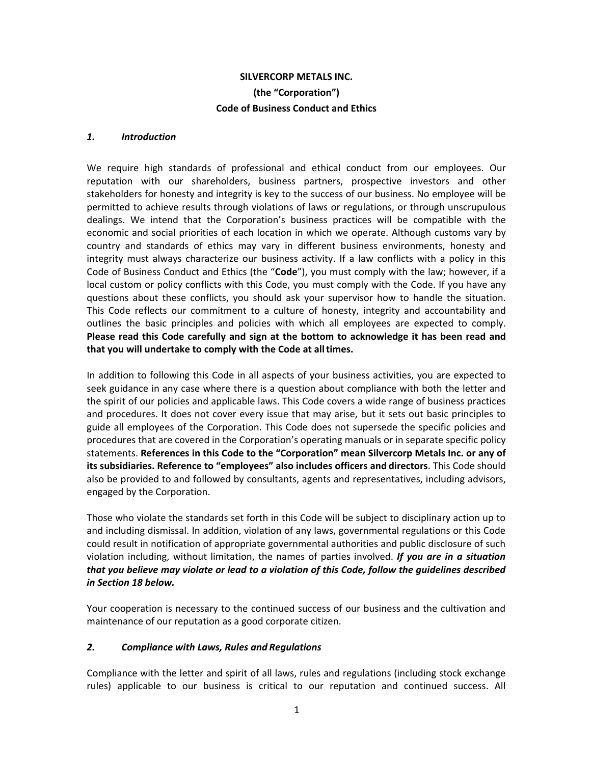# **SILVERCORP METALS INC. (the "Corporation") Code of Business Conduct and Ethics**

#### *1. Introduction*

We require high standards of professional and ethical conduct from our employees. Our reputation with our shareholders, business partners, prospective investors and other stakeholders for honesty and integrity is key to the success of our business. No employee will be permitted to achieve results through violations of laws or regulations, or through unscrupulous dealings. We intend that the Corporation's business practices will be compatible with the economic and social priorities of each location in which we operate. Although customs vary by country and standards of ethics may vary in different business environments, honesty and integrity must always characterize our business activity. If a law conflicts with a policy in this Code of Business Conduct and Ethics (the "**Code**"), you must comply with the law; however, if a local custom or policy conflicts with this Code, you must comply with the Code. If you have any questions about these conflicts, you should ask your supervisor how to handle the situation. This Code reflects our commitment to a culture of honesty, integrity and accountability and outlines the basic principles and policies with which all employees are expected to comply. **Please read this Code carefully and sign at the bottom to acknowledge it has been read and that you will undertake to comply with the Code at all times.** 

In addition to following this Code in all aspects of your business activities, you are expected to seek guidance in any case where there is a question about compliance with both the letter and the spirit of our policies and applicable laws. This Code covers a wide range of business practices and procedures. It does not cover every issue that may arise, but it sets out basic principles to guide all employees of the Corporation. This Code does not supersede the specific policies and procedures that are covered in the Corporation's operating manuals or in separate specific policy statements. **References in this Code to the "Corporation" mean Silvercorp Metals Inc. or any of its subsidiaries. Reference to "employees" also includes officers and directors**. This Code should also be provided to and followed by consultants, agents and representatives, including advisors, engaged by the Corporation.

Those who violate the standards set forth in this Code will be subject to disciplinary action up to and including dismissal. In addition, violation of any laws, governmental regulations or this Code could result in notification of appropriate governmental authorities and public disclosure of such violation including, without limitation, the names of parties involved. *If you are in a situation that you believe may violate or lead to a violation of this Code, follow the guidelines described in Section 18 below.* 

Your cooperation is necessary to the continued success of our business and the cultivation and maintenance of our reputation as a good corporate citizen.

#### *2. Compliance with Laws, Rules and Regulations*

Compliance with the letter and spirit of all laws, rules and regulations (including stock exchange rules) applicable to our business is critical to our reputation and continued success. All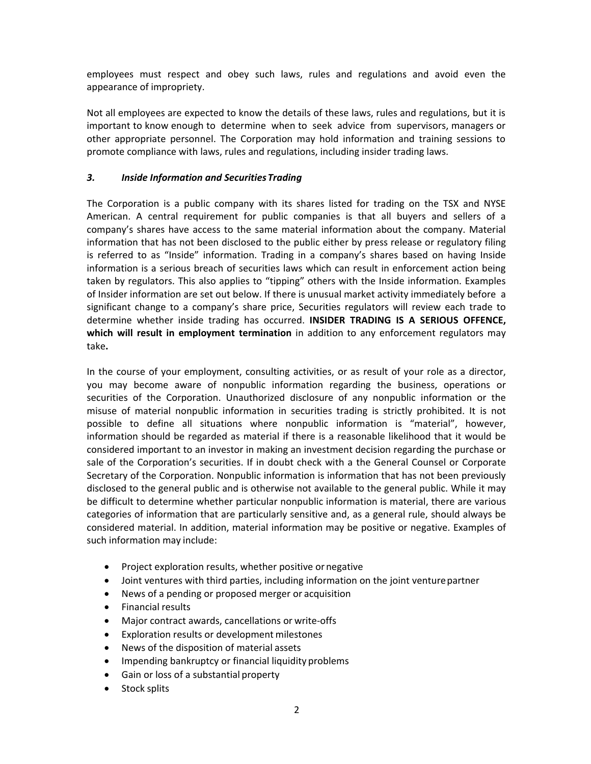employees must respect and obey such laws, rules and regulations and avoid even the appearance of impropriety.

Not all employees are expected to know the details of these laws, rules and regulations, but it is important to know enough to determine when to seek advice from supervisors, managers or other appropriate personnel. The Corporation may hold information and training sessions to promote compliance with laws, rules and regulations, including insider trading laws.

### *3. Inside Information and Securities Trading*

The Corporation is a public company with its shares listed for trading on the TSX and NYSE American. A central requirement for public companies is that all buyers and sellers of a company's shares have access to the same material information about the company. Material information that has not been disclosed to the public either by press release or regulatory filing is referred to as "Inside" information. Trading in a company's shares based on having Inside information is a serious breach of securities laws which can result in enforcement action being taken by regulators. This also applies to "tipping" others with the Inside information. Examples of Insider information are set out below. If there is unusual market activity immediately before a significant change to a company's share price, Securities regulators will review each trade to determine whether inside trading has occurred. **INSIDER TRADING IS A SERIOUS OFFENCE,**  which will result in employment termination in addition to any enforcement regulators may take**.** 

In the course of your employment, consulting activities, or as result of your role as a director, you may become aware of nonpublic information regarding the business, operations or securities of the Corporation. Unauthorized disclosure of any nonpublic information or the misuse of material nonpublic information in securities trading is strictly prohibited. It is not possible to define all situations where nonpublic information is "material", however, information should be regarded as material if there is a reasonable likelihood that it would be considered important to an investor in making an investment decision regarding the purchase or sale of the Corporation's securities. If in doubt check with a the General Counsel or Corporate Secretary of the Corporation. Nonpublic information is information that has not been previously disclosed to the general public and is otherwise not available to the general public. While it may be difficult to determine whether particular nonpublic information is material, there are various categories of information that are particularly sensitive and, as a general rule, should always be considered material. In addition, material information may be positive or negative. Examples of such information may include:

- Project exploration results, whether positive or negative
- Joint ventures with third parties, including information on the joint venture partner
- News of a pending or proposed merger or acquisition
- Financial results
- Major contract awards, cancellations or write‐offs
- Exploration results or development milestones
- News of the disposition of material assets
- Impending bankruptcy or financial liquidity problems
- Gain or loss of a substantial property
- Stock splits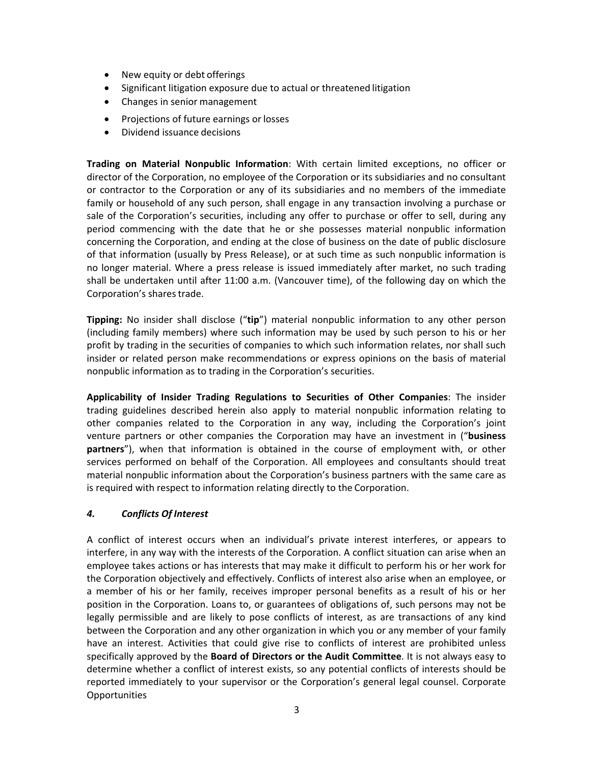- New equity or debt offerings
- Significant litigation exposure due to actual or threatened litigation
- Changes in senior management
- Projections of future earnings or losses
- Dividend issuance decisions

**Trading on Material Nonpublic Information**: With certain limited exceptions, no officer or director of the Corporation, no employee of the Corporation or its subsidiaries and no consultant or contractor to the Corporation or any of its subsidiaries and no members of the immediate family or household of any such person, shall engage in any transaction involving a purchase or sale of the Corporation's securities, including any offer to purchase or offer to sell, during any period commencing with the date that he or she possesses material nonpublic information concerning the Corporation, and ending at the close of business on the date of public disclosure of that information (usually by Press Release), or at such time as such nonpublic information is no longer material. Where a press release is issued immediately after market, no such trading shall be undertaken until after 11:00 a.m. (Vancouver time), of the following day on which the Corporation's shares trade.

**Tipping:**  No insider shall disclose ("**tip**") material nonpublic information to any other person (including family members) where such information may be used by such person to his or her profit by trading in the securities of companies to which such information relates, nor shall such insider or related person make recommendations or express opinions on the basis of material nonpublic information as to trading in the Corporation's securities.

**Applicability of Insider Trading Regulations to Securities of Other Companies**: The insider trading guidelines described herein also apply to material nonpublic information relating to other companies related to the Corporation in any way, including the Corporation's joint venture partners or other companies the Corporation may have an investment in ("**business partners**"), when that information is obtained in the course of employment with, or other services performed on behalf of the Corporation. All employees and consultants should treat material nonpublic information about the Corporation's business partners with the same care as is required with respect to information relating directly to the Corporation.

# *4. Conflicts Of Interest*

A conflict of interest occurs when an individual's private interest interferes, or appears to interfere, in any way with the interests of the Corporation. A conflict situation can arise when an employee takes actions or has interests that may make it difficult to perform his or her work for the Corporation objectively and effectively. Conflicts of interest also arise when an employee, or a member of his or her family, receives improper personal benefits as a result of his or her position in the Corporation. Loans to, or guarantees of obligations of, such persons may not be legally permissible and are likely to pose conflicts of interest, as are transactions of any kind between the Corporation and any other organization in which you or any member of your family have an interest. Activities that could give rise to conflicts of interest are prohibited unless specifically approved by the **Board of Directors or the Audit Committee**. It is not always easy to determine whether a conflict of interest exists, so any potential conflicts of interests should be reported immediately to your supervisor or the Corporation's general legal counsel. Corporate Opportunities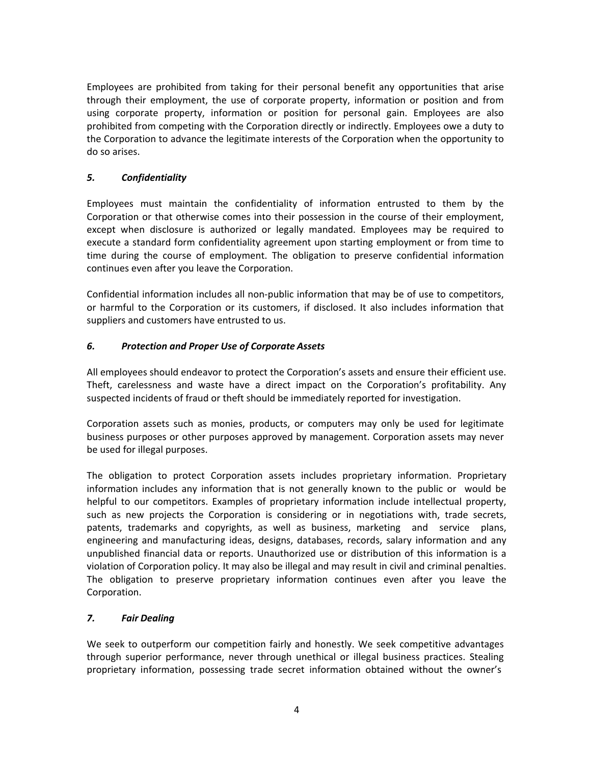Employees are prohibited from taking for their personal benefit any opportunities that arise through their employment, the use of corporate property, information or position and from using corporate property, information or position for personal gain. Employees are also prohibited from competing with the Corporation directly or indirectly. Employees owe a duty to the Corporation to advance the legitimate interests of the Corporation when the opportunity to do so arises.

# *5. Confidentiality*

Employees must maintain the confidentiality of information entrusted to them by the Corporation or that otherwise comes into their possession in the course of their employment, except when disclosure is authorized or legally mandated. Employees may be required to execute a standard form confidentiality agreement upon starting employment or from time to time during the course of employment. The obligation to preserve confidential information continues even after you leave the Corporation.

Confidential information includes all non‐public information that may be of use to competitors, or harmful to the Corporation or its customers, if disclosed. It also includes information that suppliers and customers have entrusted to us.

# *6. Protection and Proper Use of Corporate Assets*

All employees should endeavor to protect the Corporation's assets and ensure their efficient use. Theft, carelessness and waste have a direct impact on the Corporation's profitability. Any suspected incidents of fraud or theft should be immediately reported for investigation.

Corporation assets such as monies, products, or computers may only be used for legitimate business purposes or other purposes approved by management. Corporation assets may never be used for illegal purposes.

The obligation to protect Corporation assets includes proprietary information. Proprietary information includes any information that is not generally known to the public or would be helpful to our competitors. Examples of proprietary information include intellectual property, such as new projects the Corporation is considering or in negotiations with, trade secrets, patents, trademarks and copyrights, as well as business, marketing and service plans, engineering and manufacturing ideas, designs, databases, records, salary information and any unpublished financial data or reports. Unauthorized use or distribution of this information is a violation of Corporation policy. It may also be illegal and may result in civil and criminal penalties. The obligation to preserve proprietary information continues even after you leave the Corporation.

# *7. Fair Dealing*

We seek to outperform our competition fairly and honestly. We seek competitive advantages through superior performance, never through unethical or illegal business practices. Stealing proprietary information, possessing trade secret information obtained without the owner's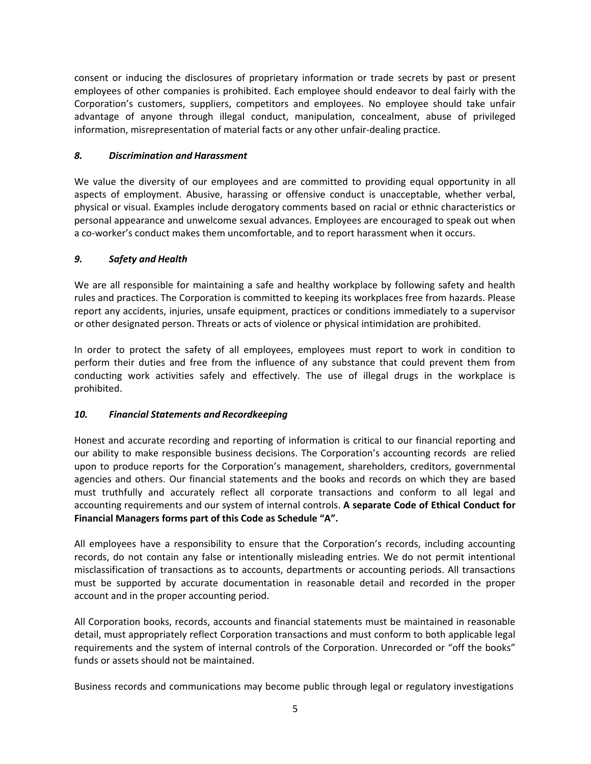consent or inducing the disclosures of proprietary information or trade secrets by past or present employees of other companies is prohibited. Each employee should endeavor to deal fairly with the Corporation's customers, suppliers, competitors and employees. No employee should take unfair advantage of anyone through illegal conduct, manipulation, concealment, abuse of privileged information, misrepresentation of material facts or any other unfair‐dealing practice.

### *8. Discrimination and Harassment*

We value the diversity of our employees and are committed to providing equal opportunity in all aspects of employment. Abusive, harassing or offensive conduct is unacceptable, whether verbal, physical or visual. Examples include derogatory comments based on racial or ethnic characteristics or personal appearance and unwelcome sexual advances. Employees are encouraged to speak out when a co-worker's conduct makes them uncomfortable, and to report harassment when it occurs.

### *9. Safety and Health*

We are all responsible for maintaining a safe and healthy workplace by following safety and health rules and practices. The Corporation is committed to keeping its workplaces free from hazards. Please report any accidents, injuries, unsafe equipment, practices or conditions immediately to a supervisor or other designated person. Threats or acts of violence or physical intimidation are prohibited.

In order to protect the safety of all employees, employees must report to work in condition to perform their duties and free from the influence of any substance that could prevent them from conducting work activities safely and effectively. The use of illegal drugs in the workplace is prohibited.

#### *10. Financial Statements and Recordkeeping*

Honest and accurate recording and reporting of information is critical to our financial reporting and our ability to make responsible business decisions. The Corporation's accounting records are relied upon to produce reports for the Corporation's management, shareholders, creditors, governmental agencies and others. Our financial statements and the books and records on which they are based must truthfully and accurately reflect all corporate transactions and conform to all legal and accounting requirements and our system of internal controls. **A separate Code of Ethical Conduct for Financial Managers forms part of this Code as Schedule "A".** 

All employees have a responsibility to ensure that the Corporation's records, including accounting records, do not contain any false or intentionally misleading entries. We do not permit intentional misclassification of transactions as to accounts, departments or accounting periods. All transactions must be supported by accurate documentation in reasonable detail and recorded in the proper account and in the proper accounting period.

All Corporation books, records, accounts and financial statements must be maintained in reasonable detail, must appropriately reflect Corporation transactions and must conform to both applicable legal requirements and the system of internal controls of the Corporation. Unrecorded or "off the books" funds or assets should not be maintained.

Business records and communications may become public through legal or regulatory investigations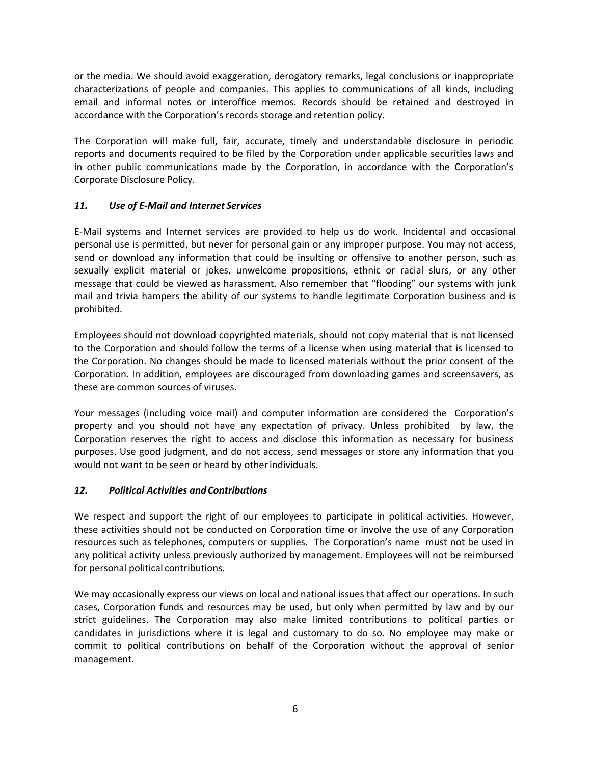or the media. We should avoid exaggeration, derogatory remarks, legal conclusions or inappropriate characterizations of people and companies. This applies to communications of all kinds, including email and informal notes or interoffice memos. Records should be retained and destroyed in accordance with the Corporation's records storage and retention policy.

The Corporation will make full, fair, accurate, timely and understandable disclosure in periodic reports and documents required to be filed by the Corporation under applicable securities laws and in other public communications made by the Corporation, in accordance with the Corporation's Corporate Disclosure Policy.

### *11. Use of E‐Mail and Internet Services*

E‐Mail systems and Internet services are provided to help us do work. Incidental and occasional personal use is permitted, but never for personal gain or any improper purpose. You may not access, send or download any information that could be insulting or offensive to another person, such as sexually explicit material or jokes, unwelcome propositions, ethnic or racial slurs, or any other message that could be viewed as harassment. Also remember that "flooding" our systems with junk mail and trivia hampers the ability of our systems to handle legitimate Corporation business and is prohibited.

Employees should not download copyrighted materials, should not copy material that is not licensed to the Corporation and should follow the terms of a license when using material that is licensed to the Corporation. No changes should be made to licensed materials without the prior consent of the Corporation. In addition, employees are discouraged from downloading games and screensavers, as these are common sources of viruses.

Your messages (including voice mail) and computer information are considered the Corporation's property and you should not have any expectation of privacy. Unless prohibited by law, the Corporation reserves the right to access and disclose this information as necessary for business purposes. Use good judgment, and do not access, send messages or store any information that you would not want to be seen or heard by other individuals.

# *12. Political Activities and Contributions*

We respect and support the right of our employees to participate in political activities. However, these activities should not be conducted on Corporation time or involve the use of any Corporation resources such as telephones, computers or supplies. The Corporation's name must not be used in any political activity unless previously authorized by management. Employees will not be reimbursed for personal political contributions.

We may occasionally express our views on local and national issues that affect our operations. In such cases, Corporation funds and resources may be used, but only when permitted by law and by our strict guidelines. The Corporation may also make limited contributions to political parties or candidates in jurisdictions where it is legal and customary to do so. No employee may make or commit to political contributions on behalf of the Corporation without the approval of senior management.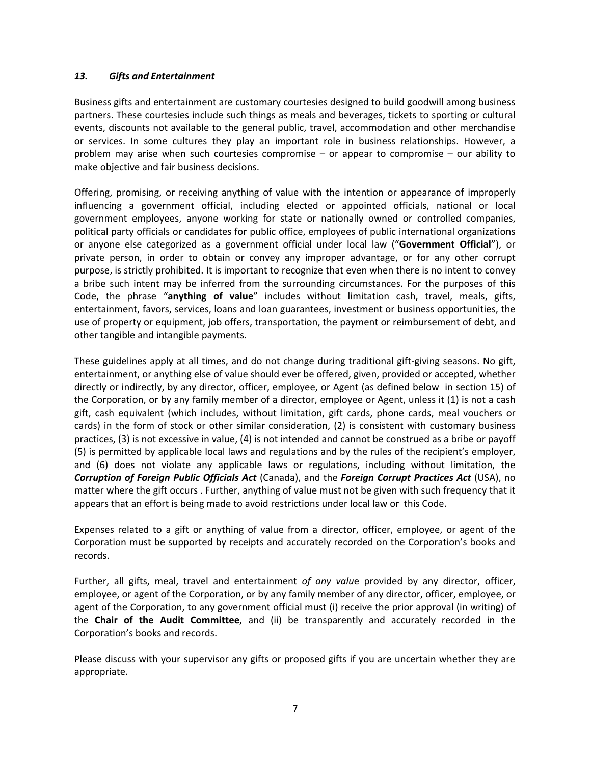#### *13. Gifts and Entertainment*

Business gifts and entertainment are customary courtesies designed to build goodwill among business partners. These courtesies include such things as meals and beverages, tickets to sporting or cultural events, discounts not available to the general public, travel, accommodation and other merchandise or services. In some cultures they play an important role in business relationships. However, a problem may arise when such courtesies compromise – or appear to compromise – our ability to make objective and fair business decisions.

Offering, promising, or receiving anything of value with the intention or appearance of improperly influencing a government official, including elected or appointed officials, national or local government employees, anyone working for state or nationally owned or controlled companies, political party officials or candidates for public office, employees of public international organizations or anyone else categorized as a government official under local law ("**Government Official**"), or private person, in order to obtain or convey any improper advantage, or for any other corrupt purpose, is strictly prohibited. It is important to recognize that even when there is no intent to convey a bribe such intent may be inferred from the surrounding circumstances. For the purposes of this Code, the phrase "**anything of value**" includes without limitation cash, travel, meals, gifts, entertainment, favors, services, loans and loan guarantees, investment or business opportunities, the use of property or equipment, job offers, transportation, the payment or reimbursement of debt, and other tangible and intangible payments.

These guidelines apply at all times, and do not change during traditional gift‐giving seasons. No gift, entertainment, or anything else of value should ever be offered, given, provided or accepted, whether directly or indirectly, by any director, officer, employee, or Agent (as defined below in section 15) of the Corporation, or by any family member of a director, employee or Agent, unless it (1) is not a cash gift, cash equivalent (which includes, without limitation, gift cards, phone cards, meal vouchers or cards) in the form of stock or other similar consideration, (2) is consistent with customary business practices, (3) is not excessive in value, (4) is not intended and cannot be construed as a bribe or payoff (5) is permitted by applicable local laws and regulations and by the rules of the recipient's employer, and (6) does not violate any applicable laws or regulations, including without limitation, the *Corruption of Foreign Public Officials Act* (Canada), and the *Foreign Corrupt Practices Act* (USA), no matter where the gift occurs . Further, anything of value must not be given with such frequency that it appears that an effort is being made to avoid restrictions under local law or this Code.

Expenses related to a gift or anything of value from a director, officer, employee, or agent of the Corporation must be supported by receipts and accurately recorded on the Corporation's books and records.

Further, all gifts, meal, travel and entertainment *of any valu*e provided by any director, officer, employee, or agent of the Corporation, or by any family member of any director, officer, employee, or agent of the Corporation, to any government official must (i) receive the prior approval (in writing) of the **Chair of the Audit Committee**, and (ii) be transparently and accurately recorded in the Corporation's books and records.

Please discuss with your supervisor any gifts or proposed gifts if you are uncertain whether they are appropriate.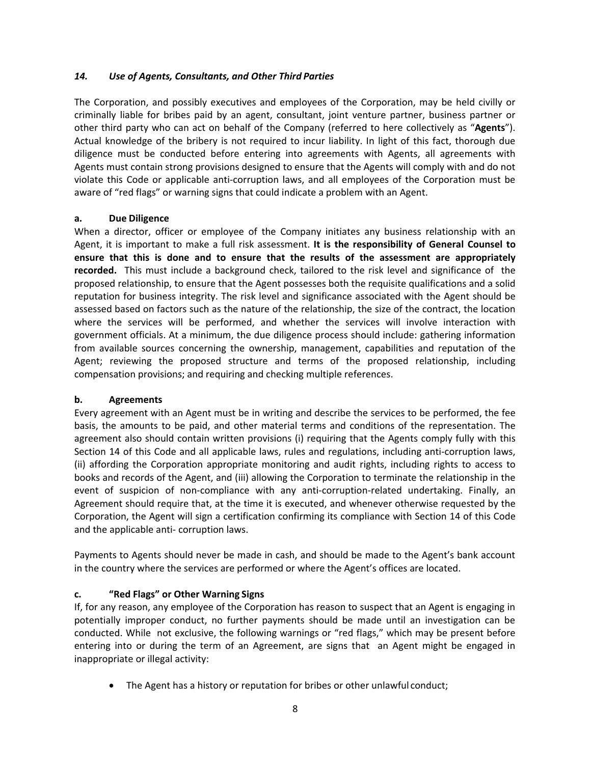### *14. Use of Agents, Consultants, and Other Third Parties*

The Corporation, and possibly executives and employees of the Corporation, may be held civilly or criminally liable for bribes paid by an agent, consultant, joint venture partner, business partner or other third party who can act on behalf of the Company (referred to here collectively as "**Agents**"). Actual knowledge of the bribery is not required to incur liability. In light of this fact, thorough due diligence must be conducted before entering into agreements with Agents, all agreements with Agents must contain strong provisions designed to ensure that the Agents will comply with and do not violate this Code or applicable anti‐corruption laws, and all employees of the Corporation must be aware of "red flags" or warning signs that could indicate a problem with an Agent.

#### **a. Due Diligence**

When a director, officer or employee of the Company initiates any business relationship with an Agent, it is important to make a full risk assessment. **It is the responsibility of General Counsel to ensure that this is done and to ensure that the results of the assessment are appropriately**  recorded. This must include a background check, tailored to the risk level and significance of the proposed relationship, to ensure that the Agent possesses both the requisite qualifications and a solid reputation for business integrity. The risk level and significance associated with the Agent should be assessed based on factors such as the nature of the relationship, the size of the contract, the location where the services will be performed, and whether the services will involve interaction with government officials. At a minimum, the due diligence process should include: gathering information from available sources concerning the ownership, management, capabilities and reputation of the Agent; reviewing the proposed structure and terms of the proposed relationship, including compensation provisions; and requiring and checking multiple references.

#### **b. Agreements**

Every agreement with an Agent must be in writing and describe the services to be performed, the fee basis, the amounts to be paid, and other material terms and conditions of the representation. The agreement also should contain written provisions (i) requiring that the Agents comply fully with this Section 14 of this Code and all applicable laws, rules and regulations, including anti-corruption laws, (ii) affording the Corporation appropriate monitoring and audit rights, including rights to access to books and records of the Agent, and (iii) allowing the Corporation to terminate the relationship in the event of suspicion of non-compliance with any anti-corruption-related undertaking. Finally, an Agreement should require that, at the time it is executed, and whenever otherwise requested by the Corporation, the Agent will sign a certification confirming its compliance with Section 14 of this Code and the applicable anti‐ corruption laws.

Payments to Agents should never be made in cash, and should be made to the Agent's bank account in the country where the services are performed or where the Agent's offices are located.

# **c. "Red Flags" or Other Warning Signs**

If, for any reason, any employee of the Corporation has reason to suspect that an Agent is engaging in potentially improper conduct, no further payments should be made until an investigation can be conducted. While not exclusive, the following warnings or "red flags," which may be present before entering into or during the term of an Agreement, are signs that an Agent might be engaged in inappropriate or illegal activity:

The Agent has a history or reputation for bribes or other unlawful conduct;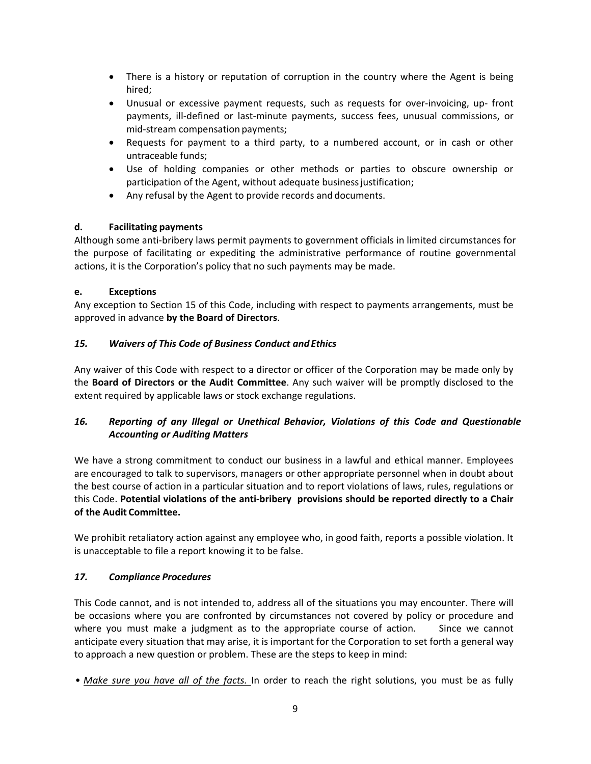- There is a history or reputation of corruption in the country where the Agent is being hired;
- Unusual or excessive payment requests, such as requests for over‐invoicing, up‐ front payments, ill-defined or last-minute payments, success fees, unusual commissions, or mid‐stream compensation payments;
- Requests for payment to a third party, to a numbered account, or in cash or other untraceable funds;
- Use of holding companies or other methods or parties to obscure ownership or participation of the Agent, without adequate business justification;
- Any refusal by the Agent to provide records and documents.

# **d. Facilitating payments**

Although some anti‐bribery laws permit payments to government officials in limited circumstances for the purpose of facilitating or expediting the administrative performance of routine governmental actions, it is the Corporation's policy that no such payments may be made.

# **e. Exceptions**

Any exception to Section 15 of this Code, including with respect to payments arrangements, must be approved in advance **by the Board of Directors**.

# *15. Waivers of This Code of Business Conduct and Ethics*

Any waiver of this Code with respect to a director or officer of the Corporation may be made only by the **Board of Directors or the Audit Committee**. Any such waiver will be promptly disclosed to the extent required by applicable laws or stock exchange regulations.

# *16. Reporting of any Illegal or Unethical Behavior, Violations of this Code and Questionable Accounting or Auditing Matters*

We have a strong commitment to conduct our business in a lawful and ethical manner. Employees are encouraged to talk to supervisors, managers or other appropriate personnel when in doubt about the best course of action in a particular situation and to report violations of laws, rules, regulations or this Code. **Potential violations of the anti‐bribery provisions should be reported directly to a Chair of the Audit Committee.** 

We prohibit retaliatory action against any employee who, in good faith, reports a possible violation. It is unacceptable to file a report knowing it to be false.

# *17. Compliance Procedures*

This Code cannot, and is not intended to, address all of the situations you may encounter. There will be occasions where you are confronted by circumstances not covered by policy or procedure and where you must make a judgment as to the appropriate course of action. Since we cannot anticipate every situation that may arise, it is important for the Corporation to set forth a general way to approach a new question or problem. These are the steps to keep in mind:

• Make sure you have all of the facts. In order to reach the right solutions, you must be as fully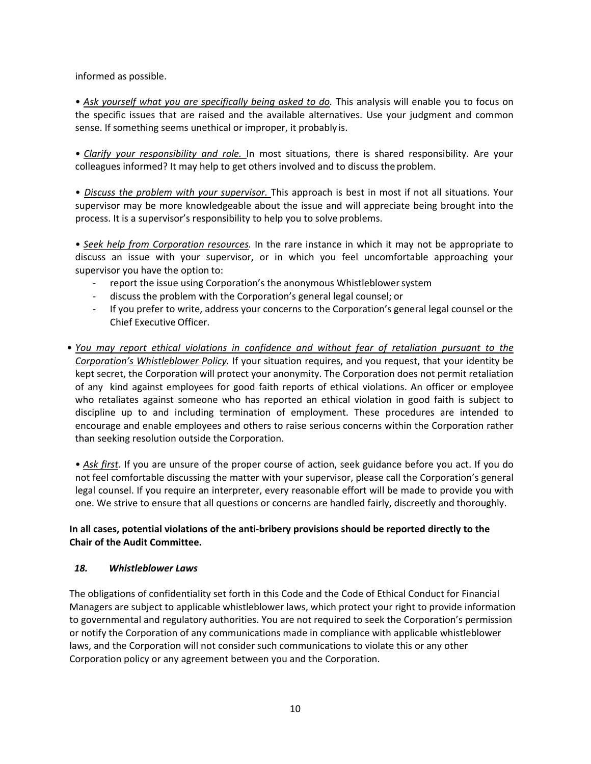informed as possible.

• *Ask yourself what you are specifically being asked to do.* This analysis will enable you to focus on the specific issues that are raised and the available alternatives. Use your judgment and common sense. If something seems unethical or improper, it probably is.

• *Clarify your responsibility and role.*  In most situations, there is shared responsibility. Are your colleagues informed? It may help to get others involved and to discuss the problem.

• *Discuss the problem with your supervisor.* This approach is best in most if not all situations. Your supervisor may be more knowledgeable about the issue and will appreciate being brought into the process. It is a supervisor's responsibility to help you to solve problems.

• *Seek help from Corporation resources.* In the rare instance in which it may not be appropriate to discuss an issue with your supervisor, or in which you feel uncomfortable approaching your supervisor you have the option to:

- ‐ report the issue using Corporation's the anonymous Whistleblower system
- ‐ discuss the problem with the Corporation's general legal counsel; or
- ‐ If you prefer to write, address your concerns to the Corporation's general legal counsel or the Chief Executive Officer.
- *You may report ethical violations in confidence and without fear of retaliation pursuant to the Corporation's Whistleblower Policy.* If your situation requires, and you request, that your identity be kept secret, the Corporation will protect your anonymity. The Corporation does not permit retaliation of any kind against employees for good faith reports of ethical violations. An officer or employee who retaliates against someone who has reported an ethical violation in good faith is subject to discipline up to and including termination of employment. These procedures are intended to encourage and enable employees and others to raise serious concerns within the Corporation rather than seeking resolution outside the Corporation.

• *Ask first.* If you are unsure of the proper course of action, seek guidance before you act. If you do not feel comfortable discussing the matter with your supervisor, please call the Corporation's general legal counsel. If you require an interpreter, every reasonable effort will be made to provide you with one. We strive to ensure that all questions or concerns are handled fairly, discreetly and thoroughly.

# **In all cases, potential violations of the anti‐bribery provisions should be reported directly to the Chair of the Audit Committee.**

#### *18. Whistleblower Laws*

The obligations of confidentiality set forth in this Code and the Code of Ethical Conduct for Financial Managers are subject to applicable whistleblower laws, which protect your right to provide information to governmental and regulatory authorities. You are not required to seek the Corporation's permission or notify the Corporation of any communications made in compliance with applicable whistleblower laws, and the Corporation will not consider such communications to violate this or any other Corporation policy or any agreement between you and the Corporation.